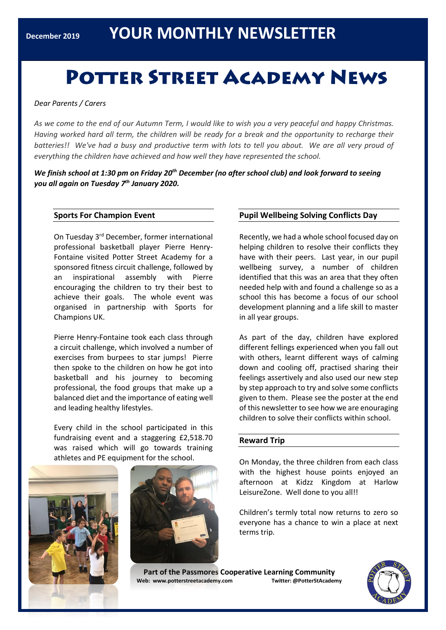## **POTTER STREET ACADEMY NEWS**

*Dear Parents / Carers*

*As we come to the end of our Autumn Term, I would like to wish you a very peaceful and happy Christmas. Having worked hard all term, the children will be ready for a break and the opportunity to recharge their batteries!! We've had a busy and productive term with lots to tell you about. We are all very proud of everything the children have achieved and how well they have represented the school.*

We finish school at 1:30 pm on Friday 20<sup>th</sup> December (no after school club) and look forward to seeing *you all again on Tuesday 7 th January 2020.*

#### **Sports For Champion Event**

On Tuesday 3rd December, former international professional basketball player Pierre Henry-Fontaine visited Potter Street Academy for a sponsored fitness circuit challenge, followed by an inspirational assembly with Pierre encouraging the children to try their best to achieve their goals. The whole event was organised in partnership with Sports for Champions UK.

Pierre Henry-Fontaine took each class through a circuit challenge, which involved a number of exercises from burpees to star jumps! Pierre then spoke to the children on how he got into basketball and his journey to becoming professional, the food groups that make up a balanced diet and the importance of eating well and leading healthy lifestyles.

Every child in the school participated in this fundraising event and a staggering £2,518.70 was raised which will go towards training athletes and PE equipment for the school.





#### **Pupil Wellbeing Solving Conflicts Day**

Recently, we had a whole school focused day on helping children to resolve their conflicts they have with their peers. Last year, in our pupil wellbeing survey, a number of children identified that this was an area that they often needed help with and found a challenge so as a school this has become a focus of our school development planning and a life skill to master in all year groups.

As part of the day, children have explored different fellings experienced when you fall out with others, learnt different ways of calming down and cooling off, practised sharing their feelings assertively and also used our new step by step approach to try and solve some conflicts given to them. Please see the poster at the end of this newsletter to see how we are enouraging children to solve their conflicts within school.

#### **Reward Trip**

On Monday, the three children from each class with the highest house points enjoyed an afternoon at Kidzz Kingdom at Harlow LeisureZone. Well done to you all!!

Children's termly total now returns to zero so everyone has a chance to win a place at next terms trip.

**Part of the Passmores Cooperative Learning Community Web: www.potterstreetacademy.com Twitter: @PotterStAcademy**

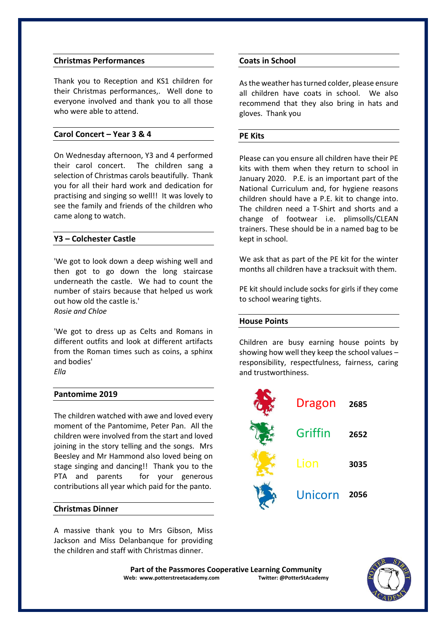#### **Christmas Performances**

Thank you to Reception and KS1 children for their Christmas performances,. Well done to everyone involved and thank you to all those who were able to attend.

#### **Carol Concert – Year 3 & 4**

On Wednesday afternoon, Y3 and 4 performed their carol concert. The children sang a selection of Christmas carols beautifully. Thank you for all their hard work and dedication for practising and singing so well!! It was lovely to see the family and friends of the children who came along to watch.

#### **Y3 – Colchester Castle**

'We got to look down a deep wishing well and then got to go down the long staircase underneath the castle. We had to count the number of stairs because that helped us work out how old the castle is.' *Rosie and Chloe*

'We got to dress up as Celts and Romans in different outfits and look at different artifacts from the Roman times such as coins, a sphinx and bodies' *Ella*

#### **Pantomime 2019**

The children watched with awe and loved every moment of the Pantomime, Peter Pan. All the children were involved from the start and loved joining in the story telling and the songs. Mrs Beesley and Mr Hammond also loved being on stage singing and dancing!! Thank you to the PTA and parents for your generous contributions all year which paid for the panto.

#### **Christmas Dinner**

A massive thank you to Mrs Gibson, Miss Jackson and Miss Delanbanque for providing the children and staff with Christmas dinner.

#### **Coats in School**

As the weather has turned colder, please ensure all children have coats in school. We also recommend that they also bring in hats and gloves. Thank you

#### **PE Kits**

Please can you ensure all children have their PE kits with them when they return to school in January 2020. P.E. is an important part of the National Curriculum and, for hygiene reasons children should have a P.E. kit to change into. The children need a T-Shirt and shorts and a change of footwear i.e. plimsolls/CLEAN trainers. These should be in a named bag to be kept in school.

We ask that as part of the PE kit for the winter months all children have a tracksuit with them.

PE kit should include socks for girls if they come to school wearing tights.

#### **House Points**

Children are busy earning house points by showing how well they keep the school values – responsibility, respectfulness, fairness, caring and trustworthiness.



Part of the Passmores Cooperative Learning Community<br>eb: www.potterstreetacademy.com **Twitter:** @PotterStAcademy **Web: www.potterstreetacademy.com** 

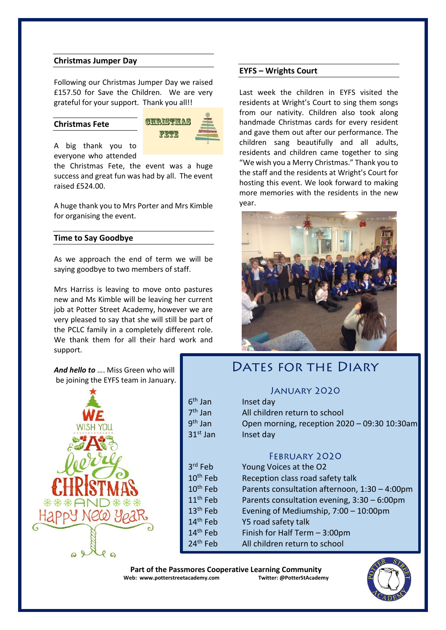#### **Christmas Jumper Day**

Following our Christmas Jumper Day we raised £157.50 for Save the Children. We are very grateful for your support. Thank you all!!

#### **Christmas Fete**



A big thank you to everyone who attended

the Christmas Fete, the event was a huge success and great fun was had by all. The event raised £524.00.

A huge thank you to Mrs Porter and Mrs Kimble for organising the event.

#### **Time to Say Goodbye**

As we approach the end of term we will be saying goodbye to two members of staff.

Mrs Harriss is leaving to move onto pastures new and Ms Kimble will be leaving her current job at Potter Street Academy, however we are very pleased to say that she will still be part of the PCLC family in a completely different role. We thank them for all their hard work and support.

*And hello to* …. Miss Green who will be joining the EYFS team in January.



#### **EYFS – Wrights Court**

Last week the children in EYFS visited the residents at Wright's Court to sing them songs from our nativity. Children also took along handmade Christmas cards for every resident and gave them out after our performance. The children sang beautifully and all adults, residents and children came together to sing "We wish you a Merry Christmas." Thank you to the staff and the residents at Wright's Court for hosting this event. We look forward to making more memories with the residents in the new year.



### **DATES FOR THE DIARY**

#### **JANUARY 2020**

| All children return to school<br>Open morning, reception 2020 - 09:30 10:30am<br>Inset day                                                                                                                                                                                          |
|-------------------------------------------------------------------------------------------------------------------------------------------------------------------------------------------------------------------------------------------------------------------------------------|
| <b>FEBRUARY 2020</b><br>Young Voices at the O2<br>Reception class road safety talk<br>Parents consultation afternoon, 1:30 - 4:00pm<br>Parents consultation evening, 3:30 - 6:00pm<br>Evening of Mediumship, 7:00 - 10:00pm<br>Y5 road safety talk<br>Finish for Half Term - 3:00pm |
|                                                                                                                                                                                                                                                                                     |

Part of the Passmores Cooperative Learning Community<br>eb: www.potterstreetacademy.com **Twitter:** @PotterStAcademy **Web: www.potterstreetacademy.com**